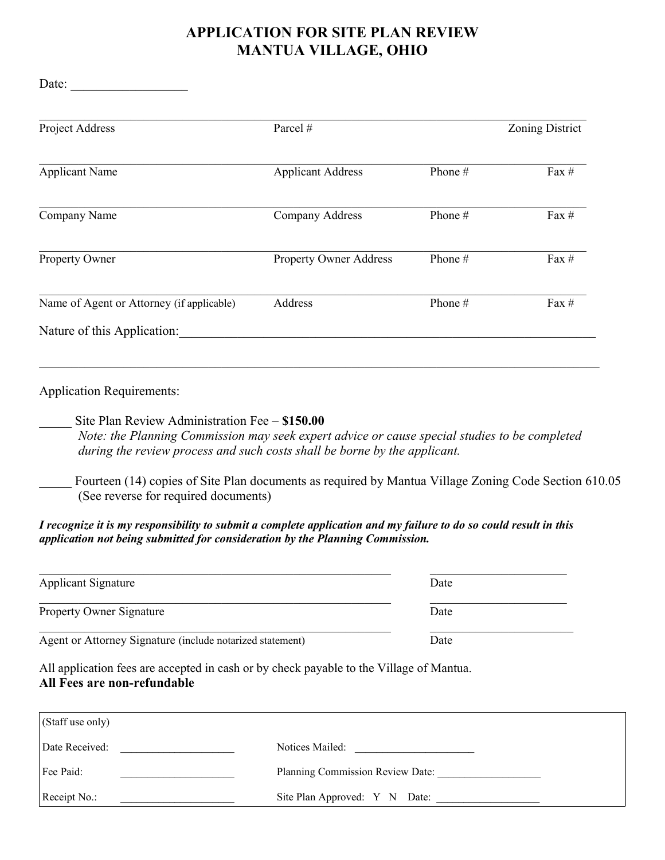## **APPLICATION FOR SITE PLAN REVIEW MANTUA VILLAGE, OHIO**

Date: \_\_\_\_\_\_\_\_\_\_\_\_\_\_\_\_\_\_

| Project Address                           | Parcel #                      |           | Zoning District |
|-------------------------------------------|-------------------------------|-----------|-----------------|
| <b>Applicant Name</b>                     | <b>Applicant Address</b>      | Phone $#$ | Fax $#$         |
| Company Name                              | Company Address               | Phone #   | Fax $#$         |
| Property Owner                            | <b>Property Owner Address</b> | Phone #   | Fax $#$         |
| Name of Agent or Attorney (if applicable) | Address                       | Phone $#$ | Fax $#$         |
| Nature of this Application:               |                               |           |                 |

Application Requirements:

\_\_\_\_\_ Site Plan Review Administration Fee – **\$150.00**

*Note: the Planning Commission may seek expert advice or cause special studies to be completed during the review process and such costs shall be borne by the applicant.*

Fourteen (14) copies of Site Plan documents as required by Mantua Village Zoning Code Section 610.05 (See reverse for required documents)

## *I recognize it is my responsibility to submit a complete application and my failure to do so could result in this application not being submitted for consideration by the Planning Commission.*

| <b>Applicant Signature</b>                                | Date |  |
|-----------------------------------------------------------|------|--|
| <b>Property Owner Signature</b>                           | Date |  |
| Agent or Attorney Signature (include notarized statement) | Date |  |

All application fees are accepted in cash or by check payable to the Village of Mantua. **All Fees are non-refundable**

| $\vert$ (Staff use only) |                                  |
|--------------------------|----------------------------------|
| Date Received:           | Notices Mailed:                  |
| Fee Paid:                | Planning Commission Review Date: |
| $ $ Receipt No.:         | Site Plan Approved: Y N Date:    |